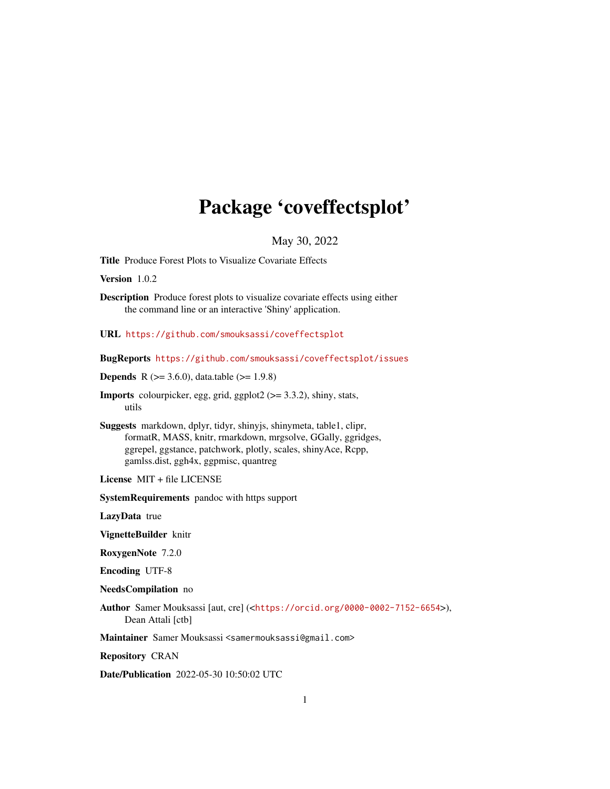# Package 'coveffectsplot'

May 30, 2022

Title Produce Forest Plots to Visualize Covariate Effects

Version 1.0.2

Description Produce forest plots to visualize covariate effects using either the command line or an interactive 'Shiny' application.

URL <https://github.com/smouksassi/coveffectsplot>

BugReports <https://github.com/smouksassi/coveffectsplot/issues>

**Depends** R ( $>= 3.6.0$ ), data.table ( $>= 1.9.8$ )

**Imports** colourpicker, egg, grid, ggplot $2$  ( $> = 3.3.2$ ), shiny, stats, utils

Suggests markdown, dplyr, tidyr, shinyjs, shinymeta, table1, clipr, formatR, MASS, knitr, rmarkdown, mrgsolve, GGally, ggridges, ggrepel, ggstance, patchwork, plotly, scales, shinyAce, Rcpp, gamlss.dist, ggh4x, ggpmisc, quantreg

License MIT + file LICENSE

SystemRequirements pandoc with https support

LazyData true

VignetteBuilder knitr

RoxygenNote 7.2.0

Encoding UTF-8

NeedsCompilation no

Author Samer Mouksassi [aut, cre] (<<https://orcid.org/0000-0002-7152-6654>>), Dean Attali [ctb]

Maintainer Samer Mouksassi <samermouksassi@gmail.com>

Repository CRAN

Date/Publication 2022-05-30 10:50:02 UTC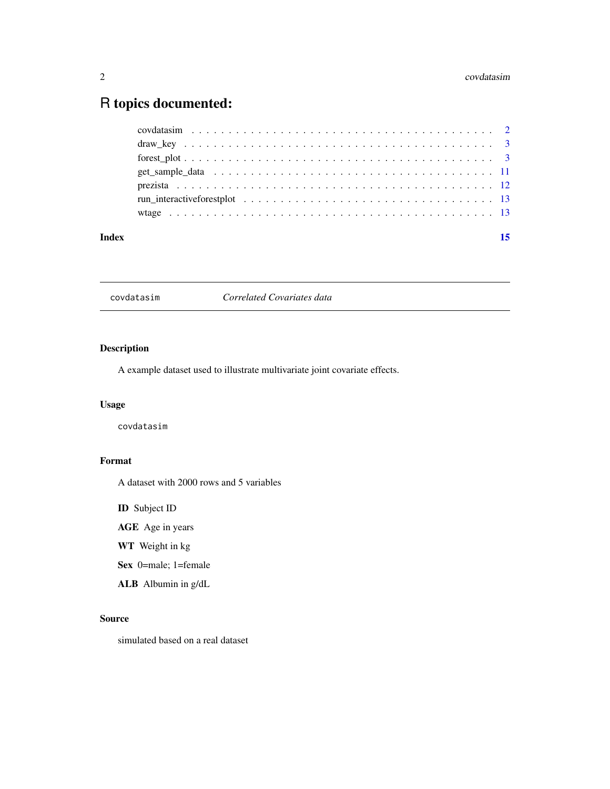## <span id="page-1-0"></span>R topics documented:

| Index | 15 |
|-------|----|
|       |    |
|       |    |
|       |    |
|       |    |
|       |    |
|       |    |
|       |    |

covdatasim *Correlated Covariates data*

#### Description

A example dataset used to illustrate multivariate joint covariate effects.

#### Usage

covdatasim

#### Format

A dataset with 2000 rows and 5 variables

ID Subject ID

AGE Age in years

WT Weight in kg

Sex 0=male; 1=female

ALB Albumin in g/dL

#### Source

simulated based on a real dataset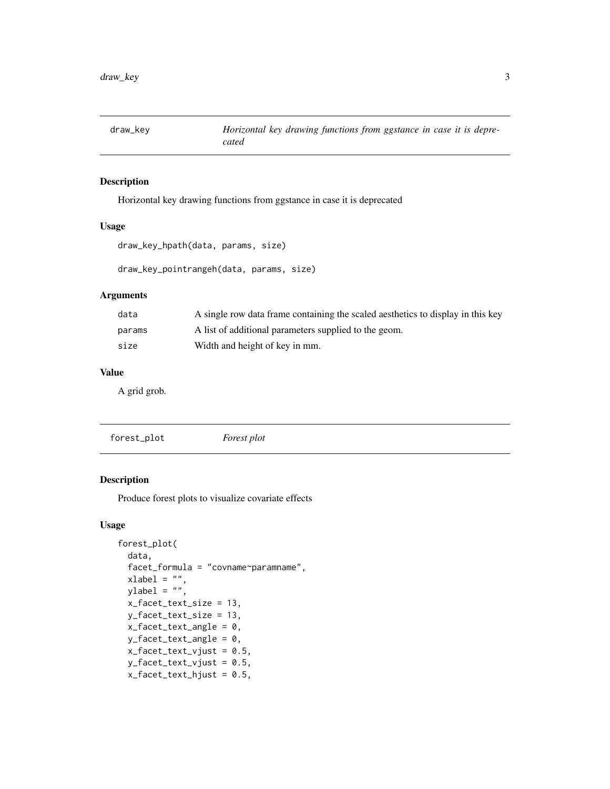<span id="page-2-0"></span>

#### Description

Horizontal key drawing functions from ggstance in case it is deprecated

#### Usage

```
draw_key_hpath(data, params, size)
```
draw\_key\_pointrangeh(data, params, size)

#### Arguments

| data   | A single row data frame containing the scaled aesthetics to display in this key |
|--------|---------------------------------------------------------------------------------|
| params | A list of additional parameters supplied to the geom.                           |
| size   | Width and height of key in mm.                                                  |

#### Value

A grid grob.

| forest_plot | Forest plot |
|-------------|-------------|
|             |             |

#### Description

Produce forest plots to visualize covariate effects

#### Usage

```
forest_plot(
 data,
 facet_formula = "covname~paramname",
 xlabel = "",
 ylabel = "",
 x_facet_text_size = 13,
 y_facet_text_size = 13,
 x_facet_text_angle = 0,
 y_facet_text_angle = 0,
 x_facet_text_vjust = 0.5,
 y_facet_text_vjust = 0.5,
 x_facet_text_hjust = 0.5,
```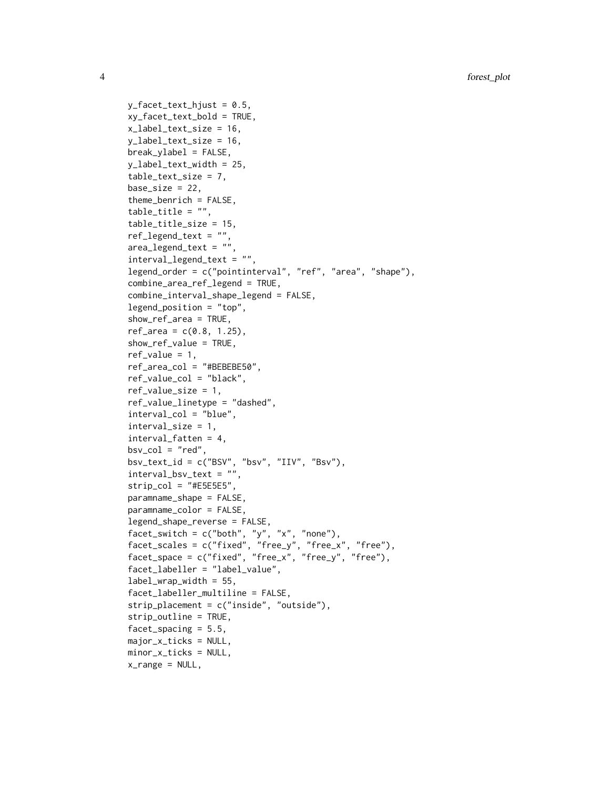y\_facet\_text\_hjust = 0.5, xy\_facet\_text\_bold = TRUE, x\_label\_text\_size = 16, y\_label\_text\_size = 16, break\_ylabel = FALSE, y\_label\_text\_width = 25, table\_text\_size = 7,  $base_size = 22$ , theme\_benrich = FALSE, table\_title = "", table\_title\_size = 15, ref\_legend\_text = "",  $area\_legend\_text = ""$ interval\_legend\_text = "", legend\_order = c("pointinterval", "ref", "area", "shape"), combine\_area\_ref\_legend = TRUE, combine\_interval\_shape\_legend = FALSE, legend\_position = "top", show\_ref\_area = TRUE,  $ref_{area} = c(0.8, 1.25)$ , show\_ref\_value = TRUE,  $ref_value = 1$ , ref\_area\_col = "#BEBEBE50", ref\_value\_col = "black", ref\_value\_size = 1, ref\_value\_linetype = "dashed", interval\_col = "blue", interval\_size = 1, interval\_fatten = 4,  $bsv\_col = "red",$  $bsv_{text_id} = c("BSV", "bsv", "IIV", "BSv"),$ interval\_bsv\_text = "",  $strip_col = "#E5E5E5",$ paramname\_shape = FALSE, paramname\_color = FALSE, legend\_shape\_reverse = FALSE, facet\_switch =  $c("both", "y", "x", "none")$ , facet\_scales = c("fixed", "free\_y", "free\_x", "free"), facet\_space = c("fixed", "free\_x", "free\_y", "free"), facet\_labeller = "label\_value",  $label\_wrap\_width = 55,$ facet\_labeller\_multiline = FALSE, strip\_placement = c("inside", "outside"), strip\_outline = TRUE, facet\_spacing = 5.5, major\_x\_ticks = NULL, minor\_x\_ticks = NULL, x\_range = NULL,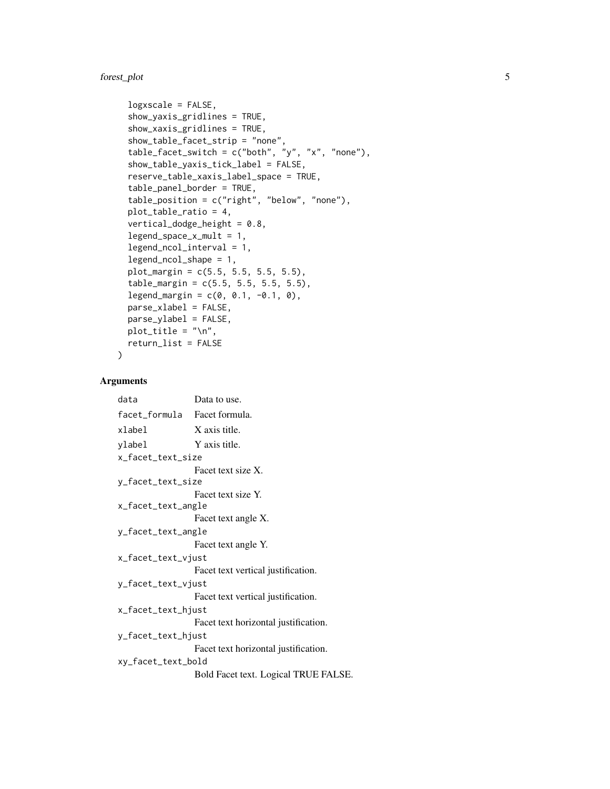#### forest\_plot 5

```
logxscale = FALSE,
show_yaxis_gridlines = TRUE,
show_xaxis_gridlines = TRUE,
show_table_facet_strip = "none",
table_facet\_switch = c("both", "y", "x", "none"),show_table_yaxis_tick_label = FALSE,
reserve_table_xaxis_label_space = TRUE,
table_panel_border = TRUE,
table_position = c("right", "below", "none"),
plot_table_ratio = 4,
vertical_dodge_height = 0.8,
legend_space_x_mult = 1,legend_ncol_interval = 1,
legend_ncol_shape = 1,
plot_margin = c(5.5, 5.5, 5.5, 5.5),
table_margin = c(5.5, 5.5, 5.5, 5.5),
legend_margin = c(0, 0.1, -0.1, 0),parse_xlabel = FALSE,
parse_ylabel = FALSE,
plot_title = "\n\cdot".
return_list = FALSE
```
#### Arguments

 $\lambda$ 

```
data Data to use.
facet_formula Facet formula.
xlabel X axis title.
ylabel Y axis title.
x_facet_text_size
                 Facet text size X.
y_facet_text_size
                 Facet text size Y.
x_facet_text_angle
                 Facet text angle X.
y_facet_text_angle
                 Facet text angle Y.
x_facet_text_vjust
                 Facet text vertical justification.
y_facet_text_vjust
                 Facet text vertical justification.
x_facet_text_hjust
                 Facet text horizontal justification.
y_facet_text_hjust
                 Facet text horizontal justification.
xy_facet_text_bold
                 Bold Facet text. Logical TRUE FALSE.
```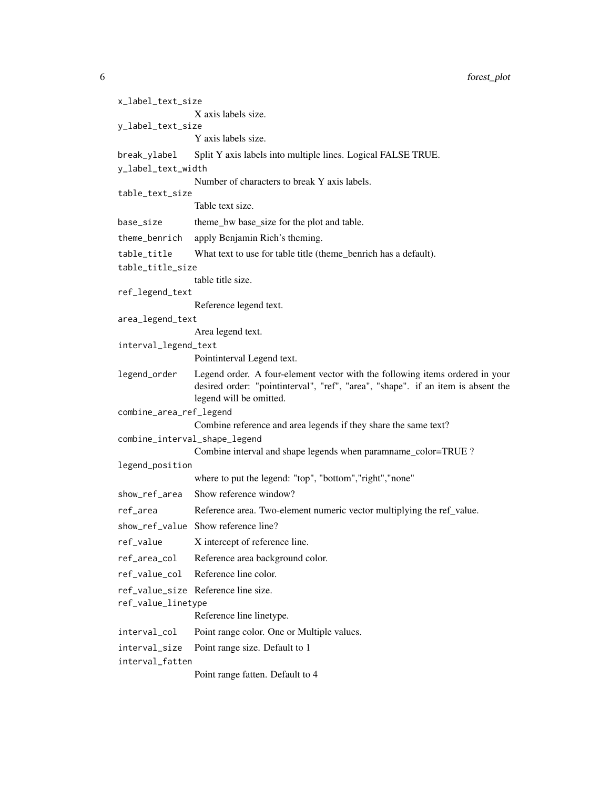6 forest\_plot

| x_label_text_size             |                                                                                                                                                                                             |
|-------------------------------|---------------------------------------------------------------------------------------------------------------------------------------------------------------------------------------------|
|                               | X axis labels size.                                                                                                                                                                         |
| y_label_text_size             |                                                                                                                                                                                             |
|                               | Y axis labels size.                                                                                                                                                                         |
| break_ylabel                  | Split Y axis labels into multiple lines. Logical FALSE TRUE.                                                                                                                                |
| y_label_text_width            |                                                                                                                                                                                             |
|                               | Number of characters to break Y axis labels.                                                                                                                                                |
| table_text_size               | Table text size.                                                                                                                                                                            |
| base_size                     | theme_bw base_size for the plot and table.                                                                                                                                                  |
| theme_benrich                 | apply Benjamin Rich's theming.                                                                                                                                                              |
| table_title                   | What text to use for table title (theme_benrich has a default).                                                                                                                             |
| table_title_size              |                                                                                                                                                                                             |
|                               | table title size.                                                                                                                                                                           |
| ref_legend_text               |                                                                                                                                                                                             |
|                               | Reference legend text.                                                                                                                                                                      |
| area_legend_text              |                                                                                                                                                                                             |
|                               | Area legend text.                                                                                                                                                                           |
| interval_legend_text          |                                                                                                                                                                                             |
|                               | Pointinterval Legend text.                                                                                                                                                                  |
| legend_order                  | Legend order. A four-element vector with the following items ordered in your<br>desired order: "pointinterval", "ref", "area", "shape". if an item is absent the<br>legend will be omitted. |
| combine_area_ref_legend       |                                                                                                                                                                                             |
|                               | Combine reference and area legends if they share the same text?                                                                                                                             |
| combine_interval_shape_legend |                                                                                                                                                                                             |
|                               | Combine interval and shape legends when paramname_color=TRUE ?                                                                                                                              |
| legend_position               |                                                                                                                                                                                             |
|                               | where to put the legend: "top", "bottom", "right", "none"                                                                                                                                   |
| show_ref_area                 | Show reference window?                                                                                                                                                                      |
| ref_area                      | Reference area. Two-element numeric vector multiplying the ref_value.                                                                                                                       |
|                               | show_ref_value Show reference line?                                                                                                                                                         |
| ref_value                     | X intercept of reference line.                                                                                                                                                              |
| ref_area_col                  | Reference area background color.                                                                                                                                                            |
| ref_value_col                 | Reference line color.                                                                                                                                                                       |
|                               | ref_value_size Reference line size.                                                                                                                                                         |
| ref_value_linetype            |                                                                                                                                                                                             |
|                               | Reference line linetype.                                                                                                                                                                    |
| interval_col                  | Point range color. One or Multiple values.                                                                                                                                                  |
| interval_size                 | Point range size. Default to 1                                                                                                                                                              |
| interval_fatten               |                                                                                                                                                                                             |
|                               | Point range fatten. Default to 4                                                                                                                                                            |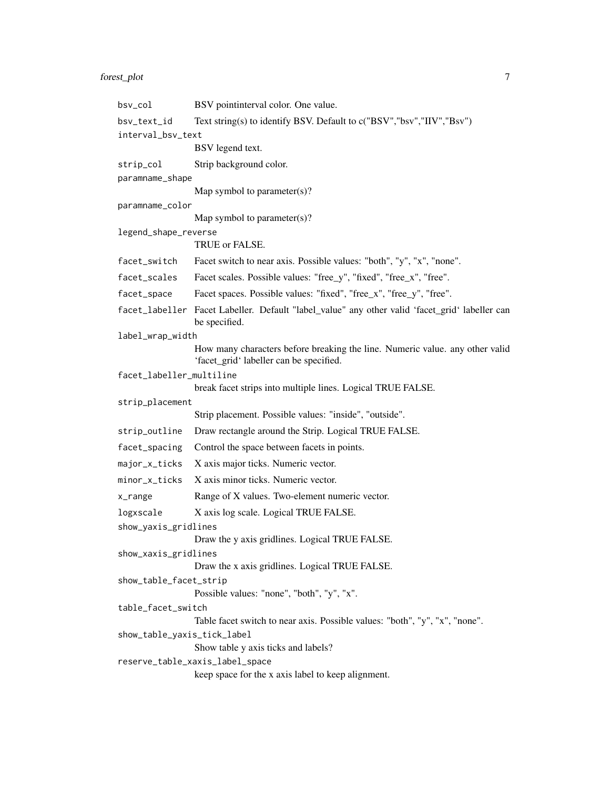### forest\_plot 7

| bsv_col                     | BSV pointinterval color. One value.                                                                                     |
|-----------------------------|-------------------------------------------------------------------------------------------------------------------------|
| bsv_text_id                 | Text string(s) to identify BSV. Default to c("BSV","bsv","IIV","Bsv")                                                   |
| interval_bsv_text           |                                                                                                                         |
|                             | BSV legend text.                                                                                                        |
| strip_col                   | Strip background color.                                                                                                 |
| paramname_shape             |                                                                                                                         |
|                             | Map symbol to parameter(s)?                                                                                             |
| paramname_color             | Map symbol to parameter(s)?                                                                                             |
| legend_shape_reverse        |                                                                                                                         |
|                             | TRUE or FALSE.                                                                                                          |
| facet_switch                | Facet switch to near axis. Possible values: "both", "y", "x", "none".                                                   |
| facet_scales                | Facet scales. Possible values: "free_y", "fixed", "free_x", "free".                                                     |
| facet_space                 | Facet spaces. Possible values: "fixed", "free_x", "free_y", "free".                                                     |
|                             | facet_labeller Facet Labeller. Default "label_value" any other valid 'facet_grid' labeller can<br>be specified.         |
| label_wrap_width            |                                                                                                                         |
|                             | How many characters before breaking the line. Numeric value. any other valid<br>'facet_grid' labeller can be specified. |
| facet_labeller_multiline    |                                                                                                                         |
|                             | break facet strips into multiple lines. Logical TRUE FALSE.                                                             |
| strip_placement             | Strip placement. Possible values: "inside", "outside".                                                                  |
| strip_outline               | Draw rectangle around the Strip. Logical TRUE FALSE.                                                                    |
| facet_spacing               | Control the space between facets in points.                                                                             |
| major_x_ticks               | X axis major ticks. Numeric vector.                                                                                     |
| minor_x_ticks               | X axis minor ticks. Numeric vector.                                                                                     |
| x_range                     | Range of X values. Two-element numeric vector.                                                                          |
| logxscale                   | X axis log scale. Logical TRUE FALSE.                                                                                   |
| show_yaxis_gridlines        |                                                                                                                         |
|                             | Draw the y axis gridlines. Logical TRUE FALSE.                                                                          |
| show_xaxis_gridlines        |                                                                                                                         |
|                             | Draw the x axis gridlines. Logical TRUE FALSE.                                                                          |
| show_table_facet_strip      | Possible values: "none", "both", "y", "x".                                                                              |
| table_facet_switch          |                                                                                                                         |
|                             | Table facet switch to near axis. Possible values: "both", "y", "x", "none".                                             |
| show_table_yaxis_tick_label |                                                                                                                         |
|                             | Show table y axis ticks and labels?                                                                                     |
|                             | reserve_table_xaxis_label_space                                                                                         |
|                             | keep space for the x axis label to keep alignment.                                                                      |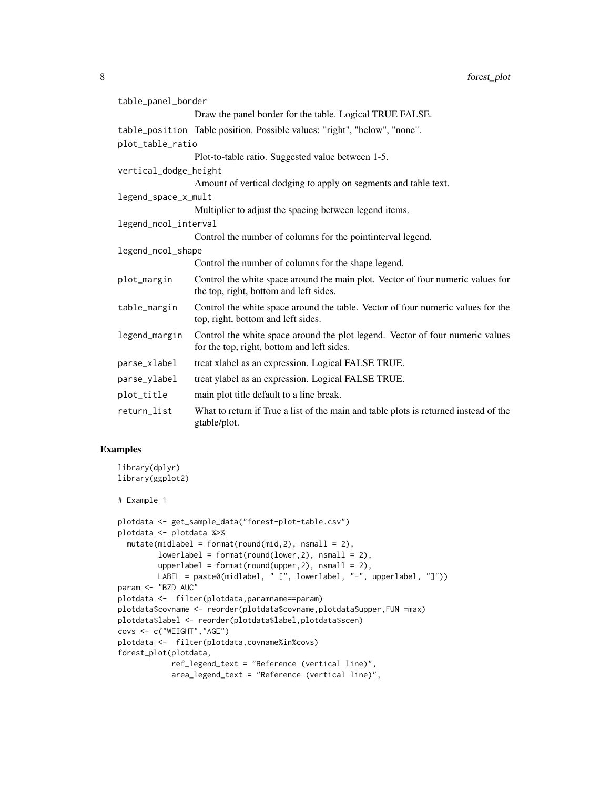| table_panel_border    |                                                                                                                             |
|-----------------------|-----------------------------------------------------------------------------------------------------------------------------|
|                       | Draw the panel border for the table. Logical TRUE FALSE.                                                                    |
|                       | table_position Table position. Possible values: "right", "below", "none".                                                   |
| plot_table_ratio      |                                                                                                                             |
|                       | Plot-to-table ratio. Suggested value between 1-5.                                                                           |
| vertical_dodge_height |                                                                                                                             |
|                       | Amount of vertical dodging to apply on segments and table text.                                                             |
| legend_space_x_mult   |                                                                                                                             |
|                       | Multiplier to adjust the spacing between legend items.                                                                      |
| legend_ncol_interval  |                                                                                                                             |
|                       | Control the number of columns for the pointinterval legend.                                                                 |
| legend_ncol_shape     |                                                                                                                             |
|                       | Control the number of columns for the shape legend.                                                                         |
| plot_margin           | Control the white space around the main plot. Vector of four numeric values for<br>the top, right, bottom and left sides.   |
| table_margin          | Control the white space around the table. Vector of four numeric values for the<br>top, right, bottom and left sides.       |
| legend_margin         | Control the white space around the plot legend. Vector of four numeric values<br>for the top, right, bottom and left sides. |
| parse_xlabel          | treat xlabel as an expression. Logical FALSE TRUE.                                                                          |
| parse_ylabel          | treat ylabel as an expression. Logical FALSE TRUE.                                                                          |
| plot_title            | main plot title default to a line break.                                                                                    |
| return_list           | What to return if True a list of the main and table plots is returned instead of the<br>gtable/plot.                        |

#### Examples

```
library(dplyr)
library(ggplot2)
# Example 1
plotdata <- get_sample_data("forest-plot-table.csv")
plotdata <- plotdata %>%
  mutate(middle1 = format(round(mid, 2), nsmall = 2),lowerlabel = format(rownd(lower,2), nsmall = 2),upperlabel = format(round(upper,2), nsmall = 2),
        LABEL = paste0(midlabel, " [", lowerlabel, "-", upperlabel, "]"))
param <- "BZD AUC"
plotdata <- filter(plotdata,paramname==param)
plotdata$covname <- reorder(plotdata$covname,plotdata$upper,FUN =max)
plotdata$label <- reorder(plotdata$label,plotdata$scen)
covs <- c("WEIGHT","AGE")
plotdata <- filter(plotdata,covname%in%covs)
forest_plot(plotdata,
            ref_legend_text = "Reference (vertical line)",
            area_legend_text = "Reference (vertical line)",
```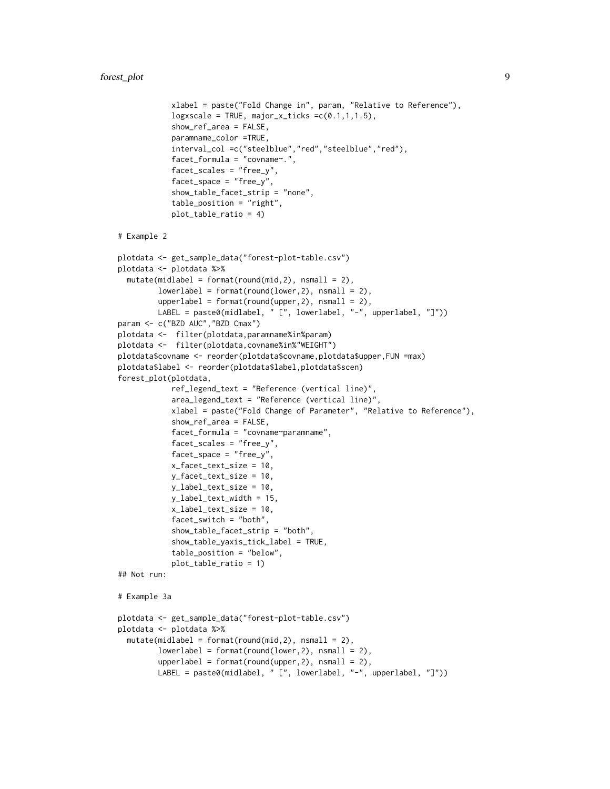```
xlabel = paste("Fold Change in", param, "Relative to Reference"),
            logxscale = TRUE, major_x_ticks =c(0.1,1,1.5),show_ref_area = FALSE,
            paramname_color =TRUE,
            interval_col =c("steelblue","red","steelblue","red"),
            facet_formula = "covname".facet_scales = "free_y",
            facet_space = "free_y",
            show_table_facet_strip = "none",
            table_position = "right",
            plot_table_ratio = 4)
# Example 2
plotdata <- get_sample_data("forest-plot-table.csv")
plotdata <- plotdata %>%
 mutate(middle1 = format(round(mid, 2), nsmall = 2),lowerlabel = format(rownd(lower,2), nsmall = 2),upperlabel = format(round(upper,2), nsmall = 2),
        LABEL = paste0(midlabel, " [", lowerlabel, "-", upperlabel, "]"))
param <- c("BZD AUC","BZD Cmax")
plotdata <- filter(plotdata,paramname%in%param)
plotdata <- filter(plotdata,covname%in%"WEIGHT")
plotdata$covname <- reorder(plotdata$covname,plotdata$upper,FUN =max)
plotdata$label <- reorder(plotdata$label,plotdata$scen)
forest_plot(plotdata,
            ref_legend_text = "Reference (vertical line)",
            area_legend_text = "Reference (vertical line)",
            xlabel = paste("Fold Change of Parameter", "Relative to Reference"),
            show_ref_area = FALSE,
            facet_formula = "covname~paramname",
            facet_scales = "free_y",
            facet_space = "free_y",
            x_facet_text_size = 10,
            y_facet_text_size = 10,
            y_label_text_size = 10,
            y_label_text_width = 15,
            x_label_text_size = 10,
            facet_switch = "both",
            show_table_facet_strip = "both",
            show_table_yaxis_tick_label = TRUE,
            table_position = "below",
            plot_table_ratio = 1)
## Not run:
# Example 3a
plotdata <- get_sample_data("forest-plot-table.csv")
plotdata <- plotdata %>%
 mutate(midlabel = format(round(mid,2), nsmall = 2),
         lowerlabel = format(rownd(lower,2), nsmall = 2),upperlabel = format(rownd(upper,2), nsmall = 2),LABEL = paste0(midlabel, " [", lowerlabel, "-", upperlabel, "]"))
```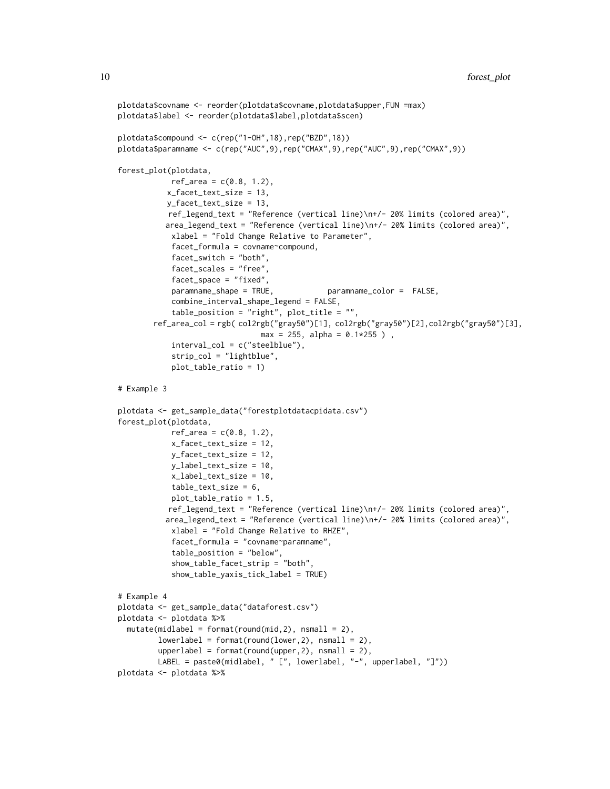```
plotdata$covname <- reorder(plotdata$covname,plotdata$upper,FUN =max)
plotdata$label <- reorder(plotdata$label,plotdata$scen)
plotdata$compound <- c(rep("1-OH",18),rep("BZD",18))
plotdata$paramname <- c(rep("AUC",9),rep("CMAX",9),rep("AUC",9),rep("CMAX",9))
forest_plot(plotdata,
           ref\_area = c(0.8, 1.2),
          x_facet_text_size = 13,
          y_facet_text_size = 13,
           ref_legend_text = "Reference (vertical line)\n+/- 20% limits (colored area)",
          area_legend_text = "Reference (vertical line)\n+/- 20% limits (colored area)",
            xlabel = "Fold Change Relative to Parameter",
            facet_formula = covname~compound,
            facet_switch = "both",
            facet_scales = "free",
            facet_space = "fixed",
            paramname_shape = TRUE, paramname_color = FALSE,
            combine_interval_shape_legend = FALSE,
            table_position = "right", plot_title = "",
        ref_area_col = rgb( col2rgb("gray50")[1], col2rgb("gray50")[2],col2rgb("gray50")[3],
                                max = 255, alpha = 0.1 * 255 ),
            interval_col = c("steelblue"),
            strip_col = "lightblue",
            plot_table_ratio = 1)
# Example 3
plotdata <- get_sample_data("forestplotdatacpidata.csv")
forest_plot(plotdata,
           ref\_area = c(0.8, 1.2),
            x_facet_text_size = 12,
            y_facet_text_size = 12,
            y_label_text_size = 10,
            x_label_text_size = 10,
            table_text_size = 6,
            plot_table_ratio = 1.5,
           ref_legend_text = "Reference (vertical line)\n+/- 20% limits (colored area)",
          area_legend_text = "Reference (vertical line)\n+/- 20% limits (colored area)",
            xlabel = "Fold Change Relative to RHZE",
            facet_formula = "covname~paramname",
            table_position = "below",
            show_table_facet_strip = "both",
            show_table_yaxis_tick_label = TRUE)
# Example 4
plotdata <- get_sample_data("dataforest.csv")
plotdata <- plotdata %>%
 mutate(middle1 = format(rownd(mid,2), nsmall = 2),lowerlabel = format(round(lower,2), nsmall = 2),
         upperlabel = format(rownd(upper,2), nsmall = 2),LABEL = paste0(midlabel, " [", lowerlabel, "-", upperlabel, "]"))
plotdata <- plotdata %>%
```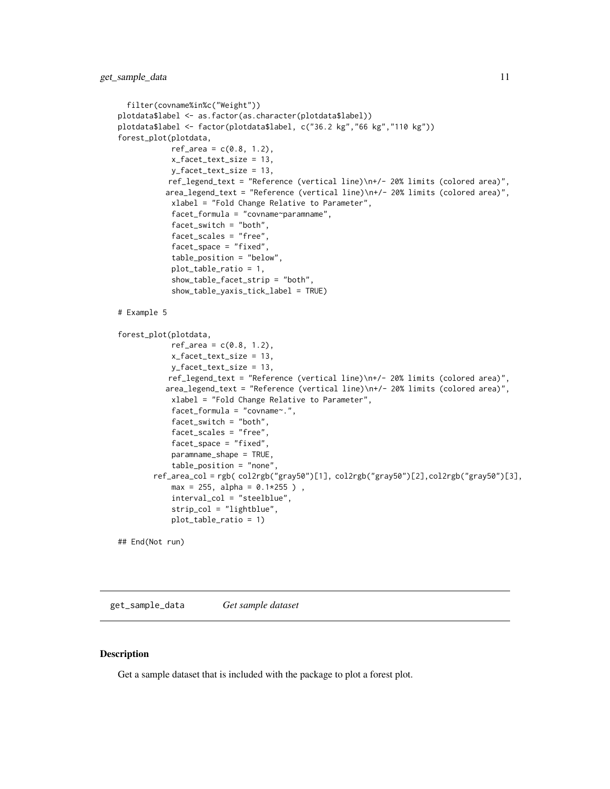```
filter(covname%in%c("Weight"))
plotdata$label <- as.factor(as.character(plotdata$label))
plotdata$label <- factor(plotdata$label, c("36.2 kg","66 kg","110 kg"))
forest_plot(plotdata,
            ref\_area = c(0.8, 1.2),
            x_facet_text_size = 13,
           y_facet_text_size = 13,
           ref_legend_text = "Reference (vertical line)\n+/- 20% limits (colored area)",
          area_legend_text = "Reference (vertical line)\n+/- 20% limits (colored area)",
            xlabel = "Fold Change Relative to Parameter",
            facet_formula = "covname~paramname",
            facet_switch = "both",
            facet_scales = "free",
            facet_space = "fixed",
            table_position = "below",
            plot_table_ratio = 1,
            show_table_facet_strip = "both",
            show_table_yaxis_tick_label = TRUE)
# Example 5
forest_plot(plotdata,
            ref\_area = c(0.8, 1.2),x_facet_text_size = 13,
            y_facet_text_size = 13,
           ref_legend_text = "Reference (vertical line)\n+/- 20% limits (colored area)",
          area_legend_text = "Reference (vertical line)\n+/- 20% limits (colored area)",
            xlabel = "Fold Change Relative to Parameter",
            facet_formula = "covname~.",
            facet_switch = "both",
            facet_scales = "free",
            facet_space = "fixed",
            paramname_shape = TRUE,
            table_position = "none",
        ref_area_col = rgb( col2rgb("gray50")[1], col2rgb("gray50")[2],col2rgb("gray50")[3],
            max = 255, alpha = 0.1*255),
            interval_col = "steelblue",
            strip_col = "lightblue",
            plot_table_ratio = 1)
## End(Not run)
```
get\_sample\_data *Get sample dataset*

#### Description

Get a sample dataset that is included with the package to plot a forest plot.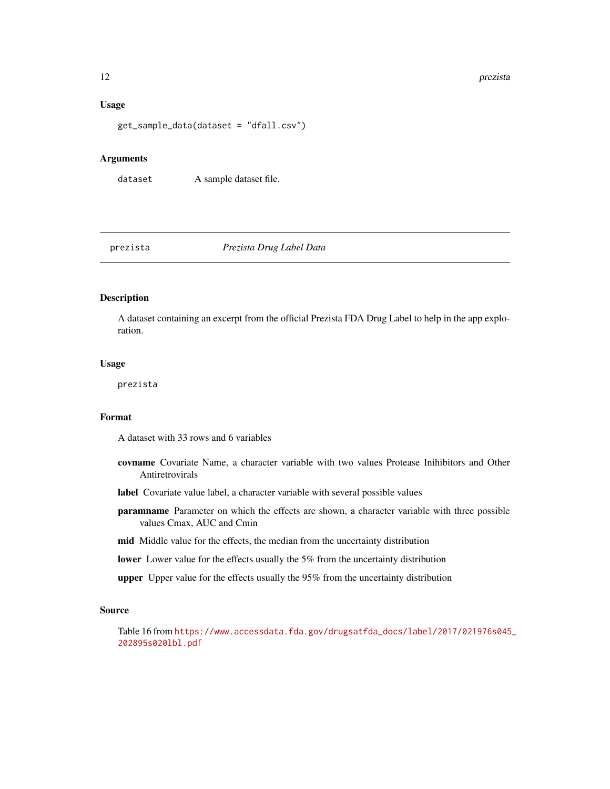#### Usage

get\_sample\_data(dataset = "dfall.csv")

#### Arguments

dataset A sample dataset file.

#### prezista *Prezista Drug Label Data*

#### Description

A dataset containing an excerpt from the official Prezista FDA Drug Label to help in the app exploration.

#### Usage

prezista

#### Format

A dataset with 33 rows and 6 variables

- covname Covariate Name, a character variable with two values Protease Inihibitors and Other Antiretrovirals
- label Covariate value label, a character variable with several possible values
- paramname Parameter on which the effects are shown, a character variable with three possible values Cmax, AUC and Cmin
- mid Middle value for the effects, the median from the uncertainty distribution
- lower Lower value for the effects usually the 5% from the uncertainty distribution
- upper Upper value for the effects usually the 95% from the uncertainty distribution

#### Source

Table 16 from [https://www.accessdata.fda.gov/drugsatfda\\_docs/label/2017/021976s045](https://www.accessdata.fda.gov/drugsatfda_docs/label/2017/021976s045_202895s020lbl.pdf)\_ [202895s020lbl.pdf](https://www.accessdata.fda.gov/drugsatfda_docs/label/2017/021976s045_202895s020lbl.pdf)

<span id="page-11-0"></span>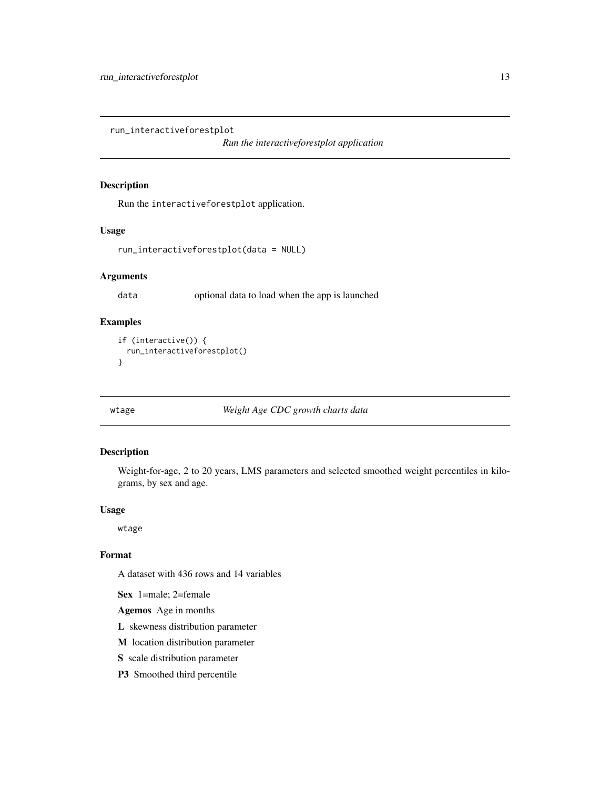<span id="page-12-0"></span>run\_interactiveforestplot

*Run the interactiveforestplot application*

#### Description

Run the interactiveforestplot application.

#### Usage

```
run_interactiveforestplot(data = NULL)
```
#### Arguments

data optional data to load when the app is launched

#### Examples

```
if (interactive()) {
 run_interactiveforestplot()
}
```
wtage *Weight Age CDC growth charts data*

#### Description

Weight-for-age, 2 to 20 years, LMS parameters and selected smoothed weight percentiles in kilograms, by sex and age.

#### Usage

wtage

#### Format

A dataset with 436 rows and 14 variables

Sex 1=male; 2=female

Agemos Age in months

L skewness distribution parameter

M location distribution parameter

S scale distribution parameter

P3 Smoothed third percentile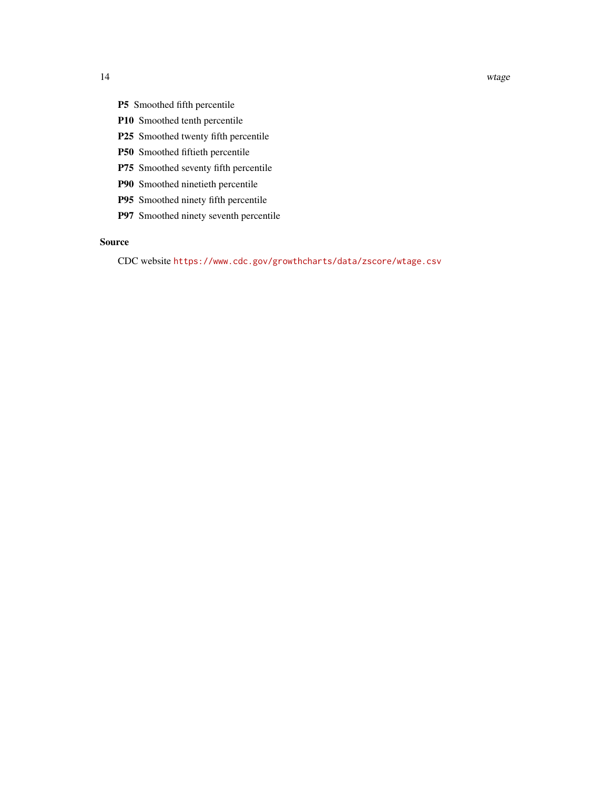- P5 Smoothed fifth percentile
- P10 Smoothed tenth percentile
- P25 Smoothed twenty fifth percentile
- P50 Smoothed fiftieth percentile
- P75 Smoothed seventy fifth percentile
- P90 Smoothed ninetieth percentile
- P95 Smoothed ninety fifth percentile
- P97 Smoothed ninety seventh percentile

#### Source

CDC website <https://www.cdc.gov/growthcharts/data/zscore/wtage.csv>